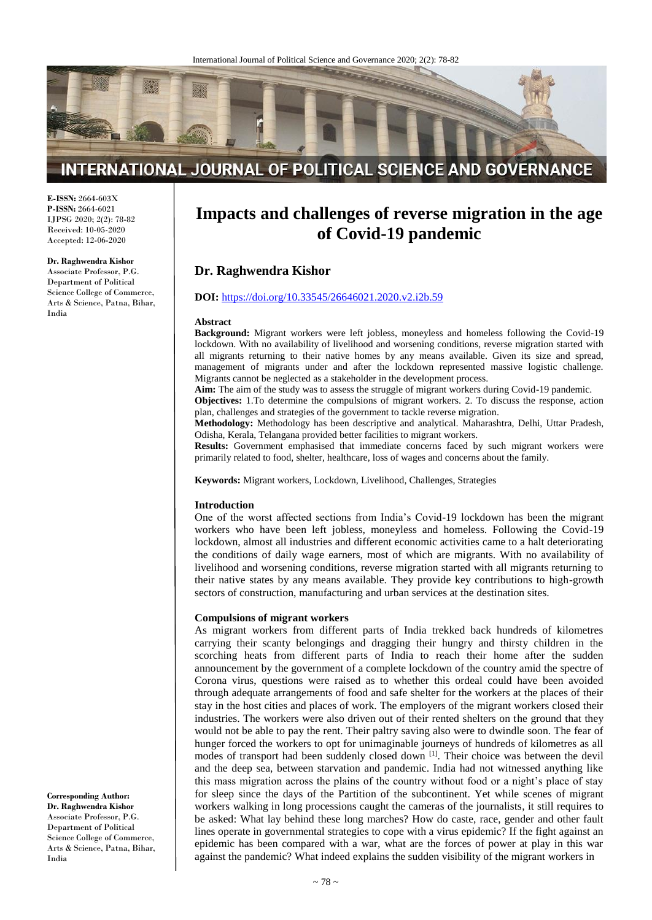

# INTERNATIONAL JOURNAL OF POLITICAL SCIENCE AND GOVERNANCE

**E-ISSN:** 2664-603X **P-ISSN:** 2664-6021 IJPSG 2020; 2(2): 78-82 Received: 10-05-2020 Accepted: 12-06-2020

#### **Dr. Raghwendra Kishor**

Associate Professor, P.G. Department of Political Science College of Commerce, Arts & Science, Patna, Bihar, India

# **Impacts and challenges of reverse migration in the age of Covid-19 pandemic**

## **Dr. Raghwendra Kishor**

#### **DOI:** <https://doi.org/10.33545/26646021.2020.v2.i2b.59>

#### **Abstract**

**Background:** Migrant workers were left jobless, moneyless and homeless following the Covid-19 lockdown. With no availability of livelihood and worsening conditions, reverse migration started with all migrants returning to their native homes by any means available. Given its size and spread, management of migrants under and after the lockdown represented massive logistic challenge. Migrants cannot be neglected as a stakeholder in the development process.

**Aim:** The aim of the study was to assess the struggle of migrant workers during Covid-19 pandemic.

**Objectives:** 1.To determine the compulsions of migrant workers. 2. To discuss the response, action plan, challenges and strategies of the government to tackle reverse migration.

**Methodology:** Methodology has been descriptive and analytical. Maharashtra, Delhi, Uttar Pradesh, Odisha, Kerala, Telangana provided better facilities to migrant workers.

**Results:** Government emphasised that immediate concerns faced by such migrant workers were primarily related to food, shelter, healthcare, loss of wages and concerns about the family.

**Keywords:** Migrant workers, Lockdown, Livelihood, Challenges, Strategies

#### **Introduction**

One of the worst affected sections from India's Covid-19 lockdown has been the migrant workers who have been left jobless, moneyless and homeless. Following the Covid-19 lockdown, almost all industries and different economic activities came to a halt deteriorating the conditions of daily wage earners, most of which are migrants. With no availability of livelihood and worsening conditions, reverse migration started with all migrants returning to their native states by any means available. They provide key contributions to high-growth sectors of construction, manufacturing and urban services at the destination sites.

#### **Compulsions of migrant workers**

As migrant workers from different parts of India trekked back hundreds of kilometres carrying their scanty belongings and dragging their hungry and thirsty children in the scorching heats from different parts of India to reach their home after the sudden announcement by the government of a complete lockdown of the country amid the spectre of Corona virus, questions were raised as to whether this ordeal could have been avoided through adequate arrangements of food and safe shelter for the workers at the places of their stay in the host cities and places of work. The employers of the migrant workers closed their industries. The workers were also driven out of their rented shelters on the ground that they would not be able to pay the rent. Their paltry saving also were to dwindle soon. The fear of hunger forced the workers to opt for unimaginable journeys of hundreds of kilometres as all modes of transport had been suddenly closed down [1]. Their choice was between the devil and the deep sea, between starvation and pandemic. India had not witnessed anything like this mass migration across the plains of the country without food or a night's place of stay for sleep since the days of the Partition of the subcontinent. Yet while scenes of migrant workers walking in long processions caught the cameras of the journalists, it still requires to be asked: What lay behind these long marches? How do caste, race, gender and other fault lines operate in governmental strategies to cope with a virus epidemic? If the fight against an epidemic has been compared with a war, what are the forces of power at play in this war against the pandemic? What indeed explains the sudden visibility of the migrant workers in

**Corresponding Author: Dr. Raghwendra Kishor** Associate Professor, P.G. Department of Political Science College of Commerce, Arts & Science, Patna, Bihar, India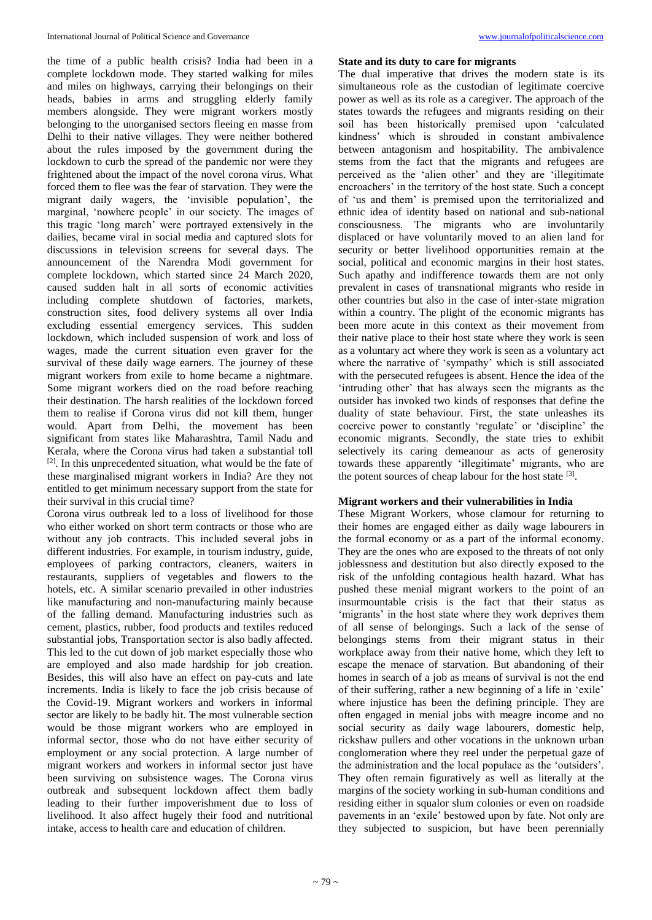the time of a public health crisis? India had been in a complete lockdown mode. They started walking for miles and miles on highways, carrying their belongings on their heads, babies in arms and struggling elderly family members alongside. They were migrant workers mostly belonging to the unorganised sectors fleeing en masse from Delhi to their native villages. They were neither bothered about the rules imposed by the government during the lockdown to curb the spread of the pandemic nor were they frightened about the impact of the novel corona virus. What forced them to flee was the fear of starvation. They were the migrant daily wagers, the 'invisible population', the marginal, 'nowhere people' in our society. The images of this tragic 'long march' were portrayed extensively in the dailies, became viral in social media and captured slots for discussions in television screens for several days. The announcement of the Narendra Modi government for complete lockdown, which started since 24 March 2020, caused sudden halt in all sorts of economic activities including complete shutdown of factories, markets, construction sites, food delivery systems all over India excluding essential emergency services. This sudden lockdown, which included suspension of work and loss of wages, made the current situation even graver for the survival of these daily wage earners. The journey of these migrant workers from exile to home became a nightmare. Some migrant workers died on the road before reaching their destination. The harsh realities of the lockdown forced them to realise if Corona virus did not kill them, hunger would. Apart from Delhi, the movement has been significant from states like Maharashtra, Tamil Nadu and Kerala, where the Corona virus had taken a substantial toll  $[2]$ . In this unprecedented situation, what would be the fate of these marginalised migrant workers in India? Are they not entitled to get minimum necessary support from the state for their survival in this crucial time?

Corona virus outbreak led to a loss of livelihood for those who either worked on short term contracts or those who are without any job contracts. This included several jobs in different industries. For example, in tourism industry, guide, employees of parking contractors, cleaners, waiters in restaurants, suppliers of vegetables and flowers to the hotels, etc. A similar scenario prevailed in other industries like manufacturing and non-manufacturing mainly because of the falling demand. Manufacturing industries such as cement, plastics, rubber, food products and textiles reduced substantial jobs, Transportation sector is also badly affected. This led to the cut down of job market especially those who are employed and also made hardship for job creation. Besides, this will also have an effect on pay-cuts and late increments. India is likely to face the job crisis because of the Covid-19. Migrant workers and workers in informal sector are likely to be badly hit. The most vulnerable section would be those migrant workers who are employed in informal sector, those who do not have either security of employment or any social protection. A large number of migrant workers and workers in informal sector just have been surviving on subsistence wages. The Corona virus outbreak and subsequent lockdown affect them badly leading to their further impoverishment due to loss of livelihood. It also affect hugely their food and nutritional intake, access to health care and education of children.

#### **State and its duty to care for migrants**

The dual imperative that drives the modern state is its simultaneous role as the custodian of legitimate coercive power as well as its role as a caregiver. The approach of the states towards the refugees and migrants residing on their soil has been historically premised upon 'calculated kindness' which is shrouded in constant ambivalence between antagonism and hospitability. The ambivalence stems from the fact that the migrants and refugees are perceived as the 'alien other' and they are 'illegitimate encroachers' in the territory of the host state. Such a concept of 'us and them' is premised upon the territorialized and ethnic idea of identity based on national and sub-national consciousness. The migrants who are involuntarily displaced or have voluntarily moved to an alien land for security or better livelihood opportunities remain at the social, political and economic margins in their host states. Such apathy and indifference towards them are not only prevalent in cases of transnational migrants who reside in other countries but also in the case of inter-state migration within a country. The plight of the economic migrants has been more acute in this context as their movement from their native place to their host state where they work is seen as a voluntary act where they work is seen as a voluntary act where the narrative of 'sympathy' which is still associated with the persecuted refugees is absent. Hence the idea of the 'intruding other' that has always seen the migrants as the outsider has invoked two kinds of responses that define the duality of state behaviour. First, the state unleashes its coercive power to constantly 'regulate' or 'discipline' the economic migrants. Secondly, the state tries to exhibit selectively its caring demeanour as acts of generosity towards these apparently 'illegitimate' migrants, who are the potent sources of cheap labour for the host state [3].

### **Migrant workers and their vulnerabilities in India**

These Migrant Workers, whose clamour for returning to their homes are engaged either as daily wage labourers in the formal economy or as a part of the informal economy. They are the ones who are exposed to the threats of not only joblessness and destitution but also directly exposed to the risk of the unfolding contagious health hazard. What has pushed these menial migrant workers to the point of an insurmountable crisis is the fact that their status as 'migrants' in the host state where they work deprives them of all sense of belongings. Such a lack of the sense of belongings stems from their migrant status in their workplace away from their native home, which they left to escape the menace of starvation. But abandoning of their homes in search of a job as means of survival is not the end of their suffering, rather a new beginning of a life in 'exile' where injustice has been the defining principle. They are often engaged in menial jobs with meagre income and no social security as daily wage labourers, domestic help, rickshaw pullers and other vocations in the unknown urban conglomeration where they reel under the perpetual gaze of the administration and the local populace as the 'outsiders'. They often remain figuratively as well as literally at the margins of the society working in sub-human conditions and residing either in squalor slum colonies or even on roadside pavements in an 'exile' bestowed upon by fate. Not only are they subjected to suspicion, but have been perennially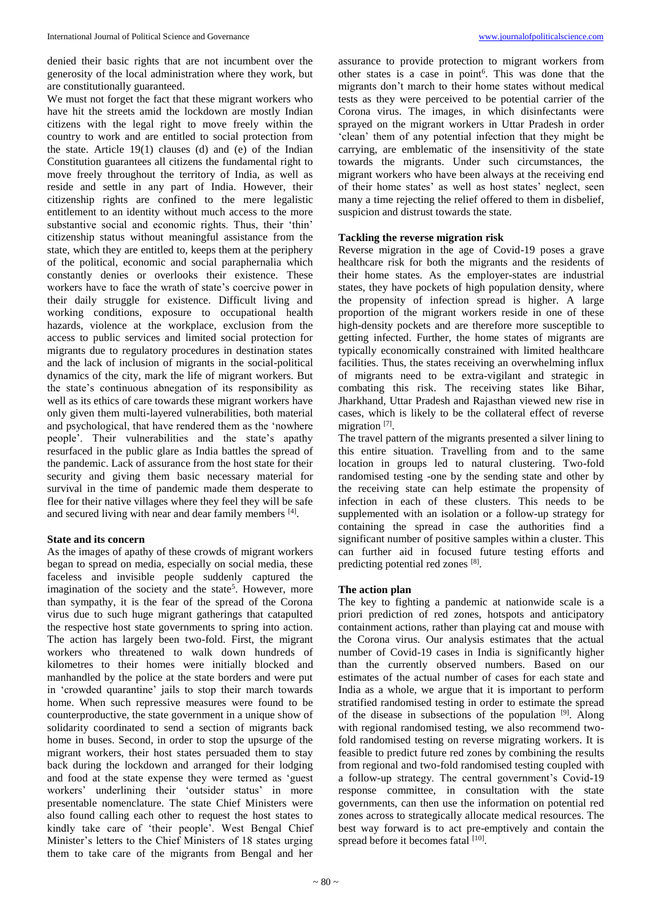denied their basic rights that are not incumbent over the generosity of the local administration where they work, but are constitutionally guaranteed.

We must not forget the fact that these migrant workers who have hit the streets amid the lockdown are mostly Indian citizens with the legal right to move freely within the country to work and are entitled to social protection from the state. Article 19(1) clauses (d) and (e) of the Indian Constitution guarantees all citizens the fundamental right to move freely throughout the territory of India, as well as reside and settle in any part of India. However, their citizenship rights are confined to the mere legalistic entitlement to an identity without much access to the more substantive social and economic rights. Thus, their 'thin' citizenship status without meaningful assistance from the state, which they are entitled to, keeps them at the periphery of the political, economic and social paraphernalia which constantly denies or overlooks their existence. These workers have to face the wrath of state's coercive power in their daily struggle for existence. Difficult living and working conditions, exposure to occupational health hazards, violence at the workplace, exclusion from the access to public services and limited social protection for migrants due to regulatory procedures in destination states and the lack of inclusion of migrants in the social-political dynamics of the city, mark the life of migrant workers. But the state's continuous abnegation of its responsibility as well as its ethics of care towards these migrant workers have only given them multi-layered vulnerabilities, both material and psychological, that have rendered them as the 'nowhere people'. Their vulnerabilities and the state's apathy resurfaced in the public glare as India battles the spread of the pandemic. Lack of assurance from the host state for their security and giving them basic necessary material for survival in the time of pandemic made them desperate to flee for their native villages where they feel they will be safe and secured living with near and dear family members [4].

## **State and its concern**

As the images of apathy of these crowds of migrant workers began to spread on media, especially on social media, these faceless and invisible people suddenly captured the imagination of the society and the state<sup>5</sup>. However, more than sympathy, it is the fear of the spread of the Corona virus due to such huge migrant gatherings that catapulted the respective host state governments to spring into action. The action has largely been two-fold. First, the migrant workers who threatened to walk down hundreds of kilometres to their homes were initially blocked and manhandled by the police at the state borders and were put in 'crowded quarantine' jails to stop their march towards home. When such repressive measures were found to be counterproductive, the state government in a unique show of solidarity coordinated to send a section of migrants back home in buses. Second, in order to stop the upsurge of the migrant workers, their host states persuaded them to stay back during the lockdown and arranged for their lodging and food at the state expense they were termed as 'guest workers' underlining their 'outsider status' in more presentable nomenclature. The state Chief Ministers were also found calling each other to request the host states to kindly take care of 'their people'. West Bengal Chief Minister's letters to the Chief Ministers of 18 states urging them to take care of the migrants from Bengal and her

assurance to provide protection to migrant workers from other states is a case in point<sup>6</sup>. This was done that the migrants don't march to their home states without medical tests as they were perceived to be potential carrier of the Corona virus. The images, in which disinfectants were sprayed on the migrant workers in Uttar Pradesh in order 'clean' them of any potential infection that they might be carrying, are emblematic of the insensitivity of the state towards the migrants. Under such circumstances, the migrant workers who have been always at the receiving end of their home states' as well as host states' neglect, seen many a time rejecting the relief offered to them in disbelief, suspicion and distrust towards the state.

### **Tackling the reverse migration risk**

Reverse migration in the age of Covid-19 poses a grave healthcare risk for both the migrants and the residents of their home states. As the employer-states are industrial states, they have pockets of high population density, where the propensity of infection spread is higher. A large proportion of the migrant workers reside in one of these high-density pockets and are therefore more susceptible to getting infected. Further, the home states of migrants are typically economically constrained with limited healthcare facilities. Thus, the states receiving an overwhelming influx of migrants need to be extra-vigilant and strategic in combating this risk. The receiving states like Bihar, Jharkhand, Uttar Pradesh and Rajasthan viewed new rise in cases, which is likely to be the collateral effect of reverse migration<sup>[7]</sup>.

The travel pattern of the migrants presented a silver lining to this entire situation. Travelling from and to the same location in groups led to natural clustering. Two-fold randomised testing -one by the sending state and other by the receiving state can help estimate the propensity of infection in each of these clusters. This needs to be supplemented with an isolation or a follow-up strategy for containing the spread in case the authorities find a significant number of positive samples within a cluster. This can further aid in focused future testing efforts and predicting potential red zones [8].

#### **The action plan**

The key to fighting a pandemic at nationwide scale is a priori prediction of red zones, hotspots and anticipatory containment actions, rather than playing cat and mouse with the Corona virus. Our analysis estimates that the actual number of Covid-19 cases in India is significantly higher than the currently observed numbers. Based on our estimates of the actual number of cases for each state and India as a whole, we argue that it is important to perform stratified randomised testing in order to estimate the spread of the disease in subsections of the population <sup>[9]</sup>. Along with regional randomised testing, we also recommend twofold randomised testing on reverse migrating workers. It is feasible to predict future red zones by combining the results from regional and two-fold randomised testing coupled with a follow-up strategy. The central government's Covid-19 response committee, in consultation with the state governments, can then use the information on potential red zones across to strategically allocate medical resources. The best way forward is to act pre-emptively and contain the spread before it becomes fatal [10].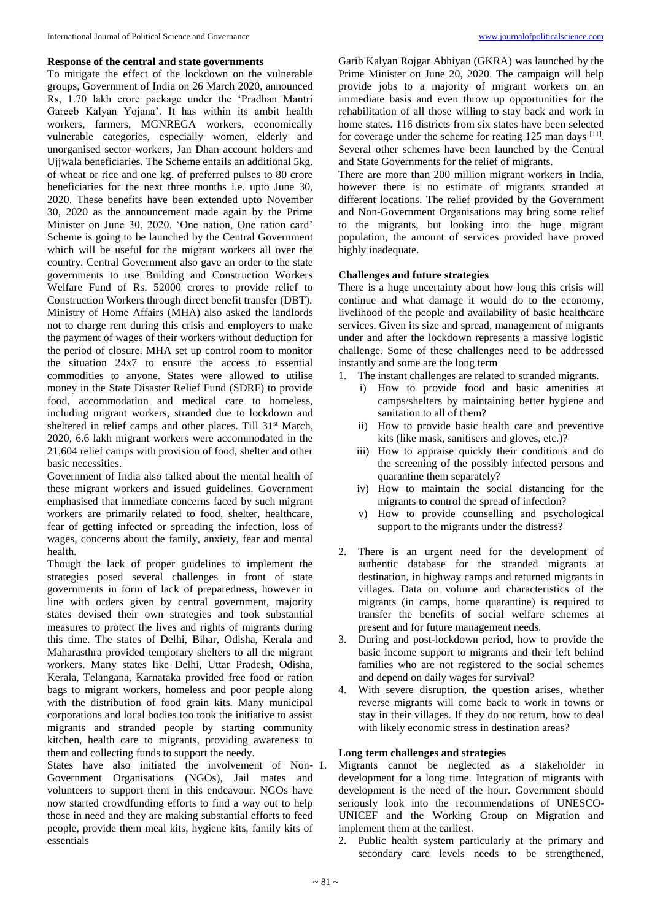## **Response of the central and state governments**

To mitigate the effect of the lockdown on the vulnerable groups, Government of India on 26 March 2020, announced Rs, 1.70 lakh crore package under the 'Pradhan Mantri Gareeb Kalyan Yojana'. It has within its ambit health workers, farmers, MGNREGA workers, economically vulnerable categories, especially women, elderly and unorganised sector workers, Jan Dhan account holders and Ujjwala beneficiaries. The Scheme entails an additional 5kg. of wheat or rice and one kg. of preferred pulses to 80 crore beneficiaries for the next three months i.e. upto June 30, 2020. These benefits have been extended upto November 30, 2020 as the announcement made again by the Prime Minister on June 30, 2020. 'One nation, One ration card' Scheme is going to be launched by the Central Government which will be useful for the migrant workers all over the country. Central Government also gave an order to the state governments to use Building and Construction Workers Welfare Fund of Rs. 52000 crores to provide relief to Construction Workers through direct benefit transfer (DBT). Ministry of Home Affairs (MHA) also asked the landlords not to charge rent during this crisis and employers to make the payment of wages of their workers without deduction for the period of closure. MHA set up control room to monitor the situation 24x7 to ensure the access to essential commodities to anyone. States were allowed to utilise money in the State Disaster Relief Fund (SDRF) to provide food, accommodation and medical care to homeless, including migrant workers, stranded due to lockdown and sheltered in relief camps and other places. Till 31<sup>st</sup> March, 2020, 6.6 lakh migrant workers were accommodated in the 21,604 relief camps with provision of food, shelter and other basic necessities.

Government of India also talked about the mental health of these migrant workers and issued guidelines. Government emphasised that immediate concerns faced by such migrant workers are primarily related to food, shelter, healthcare, fear of getting infected or spreading the infection, loss of wages, concerns about the family, anxiety, fear and mental health.

Though the lack of proper guidelines to implement the strategies posed several challenges in front of state governments in form of lack of preparedness, however in line with orders given by central government, majority states devised their own strategies and took substantial measures to protect the lives and rights of migrants during this time. The states of Delhi, Bihar, Odisha, Kerala and Maharasthra provided temporary shelters to all the migrant workers. Many states like Delhi, Uttar Pradesh, Odisha, Kerala, Telangana, Karnataka provided free food or ration bags to migrant workers, homeless and poor people along with the distribution of food grain kits. Many municipal corporations and local bodies too took the initiative to assist migrants and stranded people by starting community kitchen, health care to migrants, providing awareness to them and collecting funds to support the needy.

States have also initiated the involvement of Non- 1. Government Organisations (NGOs), Jail mates and volunteers to support them in this endeavour. NGOs have now started crowdfunding efforts to find a way out to help those in need and they are making substantial efforts to feed people, provide them meal kits, hygiene kits, family kits of essentials

Garib Kalyan Rojgar Abhiyan (GKRA) was launched by the Prime Minister on June 20, 2020. The campaign will help provide jobs to a majority of migrant workers on an immediate basis and even throw up opportunities for the rehabilitation of all those willing to stay back and work in home states. 116 districts from six states have been selected for coverage under the scheme for reating  $125$  man days  $^{[11]}$ . Several other schemes have been launched by the Central and State Governments for the relief of migrants.

There are more than 200 million migrant workers in India, however there is no estimate of migrants stranded at different locations. The relief provided by the Government and Non-Government Organisations may bring some relief to the migrants, but looking into the huge migrant population, the amount of services provided have proved highly inadequate.

# **Challenges and future strategies**

There is a huge uncertainty about how long this crisis will continue and what damage it would do to the economy, livelihood of the people and availability of basic healthcare services. Given its size and spread, management of migrants under and after the lockdown represents a massive logistic challenge. Some of these challenges need to be addressed instantly and some are the long term

- 1. The instant challenges are related to stranded migrants.
	- i) How to provide food and basic amenities at camps/shelters by maintaining better hygiene and sanitation to all of them?
	- ii) How to provide basic health care and preventive kits (like mask, sanitisers and gloves, etc.)?
	- iii) How to appraise quickly their conditions and do the screening of the possibly infected persons and quarantine them separately?
	- iv) How to maintain the social distancing for the migrants to control the spread of infection?
	- v) How to provide counselling and psychological support to the migrants under the distress?
- 2. There is an urgent need for the development of authentic database for the stranded migrants at destination, in highway camps and returned migrants in villages. Data on volume and characteristics of the migrants (in camps, home quarantine) is required to transfer the benefits of social welfare schemes at present and for future management needs.
- 3. During and post-lockdown period, how to provide the basic income support to migrants and their left behind families who are not registered to the social schemes and depend on daily wages for survival?
- 4. With severe disruption, the question arises, whether reverse migrants will come back to work in towns or stay in their villages. If they do not return, how to deal with likely economic stress in destination areas?

# **Long term challenges and strategies**

Migrants cannot be neglected as a stakeholder in development for a long time. Integration of migrants with development is the need of the hour. Government should seriously look into the recommendations of UNESCO-UNICEF and the Working Group on Migration and implement them at the earliest.

2. Public health system particularly at the primary and secondary care levels needs to be strengthened,